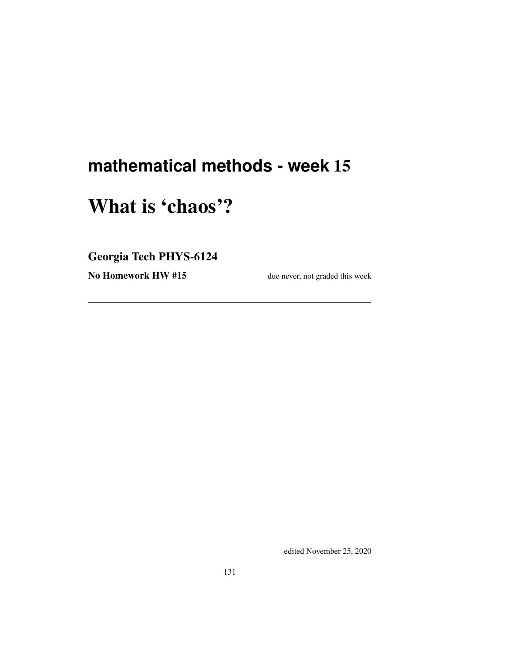## **mathematical methods - week** 15

# What is 'chaos'?

Georgia Tech PHYS-6124

No Homework HW #15 due never, not graded this week

edited November 25, 2020